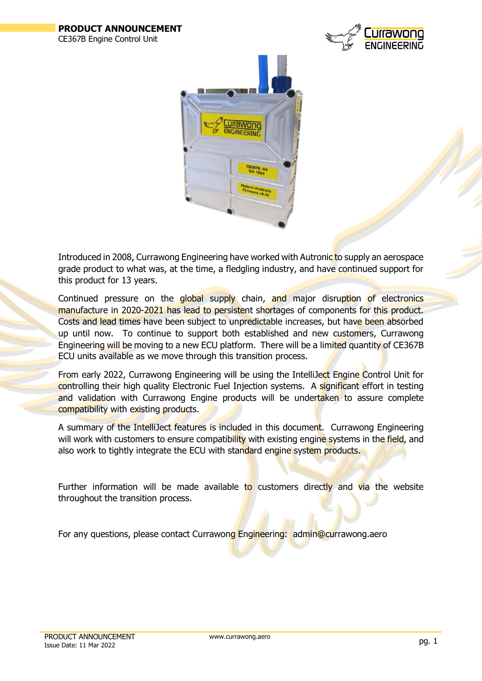



Introduced in 2008, Currawong Engineering have worked with Autronic to supply an aerospace grade product to what was, at the time, a fledgling industry, and have continued support for this product for 13 years.

Continued pressure on the global supply chain, and major disruption of electronics manufacture in 2020-2021 has lead to persistent shortages of components for this product. Costs and lead times have been subject to unpredictable increases, but have been absorbed up until now. To continue to support both established and new customers, Currawong Engineering will be moving to a new ECU platform. There will be a limited quantity of CE367B ECU units available as we move through this transition process.

From early 2022, Currawong Engineering will be using the IntelliJect Engine Control Unit for controlling their high quality Electronic Fuel Injection systems. A significant effort in testing and validation with Currawong Engine products will be undertaken to assure complete compatibility with existing products.

A summary of the IntelliJect features is included in this document. Currawong Engineering will work with customers to ensure compatibility with existing engine systems in the field, and also work to tightly integrate the ECU with standard engine system products.

Further information will be made available to customers directly and via the website throughout the transition process.

For any questions, please contact Currawong Engineering: admin@currawong.aero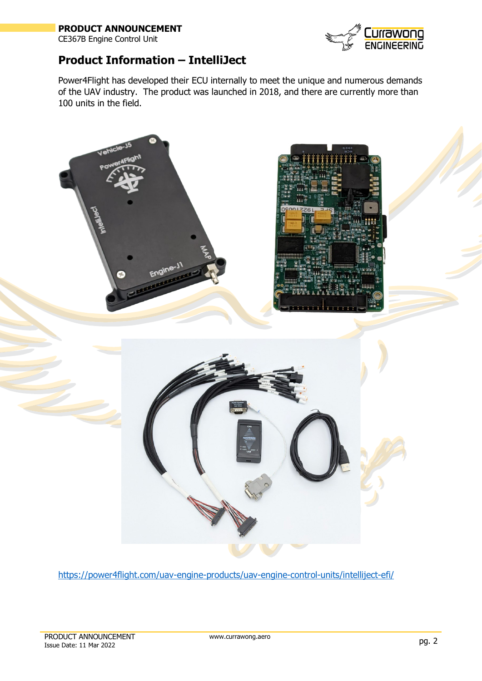## **PRODUCT ANNOUNCEMENT**

CE367B Engine Control Unit



## **Product Information – IntelliJect**

Power4Flight has developed their ECU internally to meet the unique and numerous demands of the UAV industry. The product was launched in 2018, and there are currently more than 100 units in the field.



<https://power4flight.com/uav-engine-products/uav-engine-control-units/intelliject-efi/>